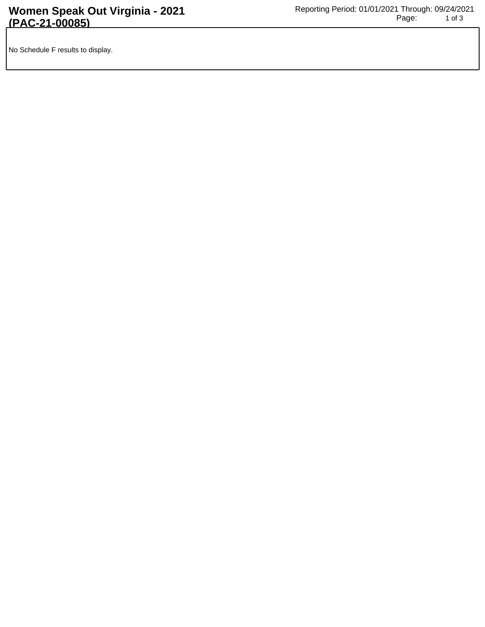No Schedule F results to display.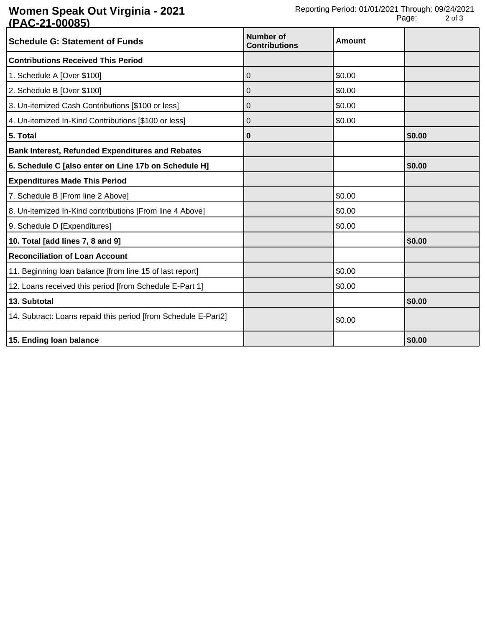## **Women Speak Out Virginia - 2021 (PAC-21-00085)**

| <b>Schedule G: Statement of Funds</b>                          | <b>Number of</b><br><b>Contributions</b> | Amount |        |
|----------------------------------------------------------------|------------------------------------------|--------|--------|
| <b>Contributions Received This Period</b>                      |                                          |        |        |
| 1. Schedule A [Over \$100]                                     | 0                                        | \$0.00 |        |
| 2. Schedule B [Over \$100]                                     | 0                                        | \$0.00 |        |
| 3. Un-itemized Cash Contributions [\$100 or less]              | 0                                        | \$0.00 |        |
| 4. Un-itemized In-Kind Contributions [\$100 or less]           | 0                                        | \$0.00 |        |
| 5. Total                                                       | 0                                        |        | \$0.00 |
| <b>Bank Interest, Refunded Expenditures and Rebates</b>        |                                          |        |        |
| 6. Schedule C [also enter on Line 17b on Schedule H]           |                                          |        | \$0.00 |
| <b>Expenditures Made This Period</b>                           |                                          |        |        |
| 7. Schedule B [From line 2 Above]                              |                                          | \$0.00 |        |
| 8. Un-itemized In-Kind contributions [From line 4 Above]       |                                          | \$0.00 |        |
| 9. Schedule D [Expenditures]                                   |                                          | \$0.00 |        |
| 10. Total [add lines 7, 8 and 9]                               |                                          |        | \$0.00 |
| <b>Reconciliation of Loan Account</b>                          |                                          |        |        |
| 11. Beginning loan balance [from line 15 of last report]       |                                          | \$0.00 |        |
| 12. Loans received this period [from Schedule E-Part 1]        |                                          | \$0.00 |        |
| 13. Subtotal                                                   |                                          |        | \$0.00 |
| 14. Subtract: Loans repaid this period [from Schedule E-Part2] |                                          | \$0.00 |        |
| 15. Ending loan balance                                        |                                          |        | \$0.00 |